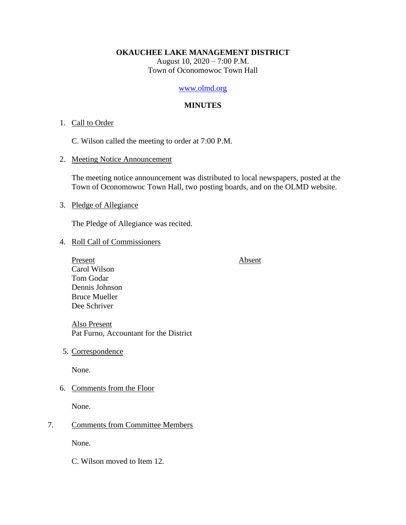### **OKAUCHEE LAKE MANAGEMENT DISTRICT**

August 10, 2020 – 7:00 P.M. Town of Oconomowoc Town Hall

## [www.olmd.org](http://www.olmd.org/)

## **MINUTES**

### 1. Call to Order

C. Wilson called the meeting to order at 7:00 P.M.

2. Meeting Notice Announcement

The meeting notice announcement was distributed to local newspapers, posted at the Town of Oconomowoc Town Hall, two posting boards, and on the OLMD website.

## 3. Pledge of Allegiance

The Pledge of Allegiance was recited.

4. Roll Call of Commissioners

Present Absent Carol Wilson Tom Godar Dennis Johnson Bruce Mueller Dee Schriver

Also Present Pat Furno, Accountant for the District

5. Correspondence

None.

6. Comments from the Floor

None.

## 7. Comments from Committee Members

None.

C. Wilson moved to Item 12.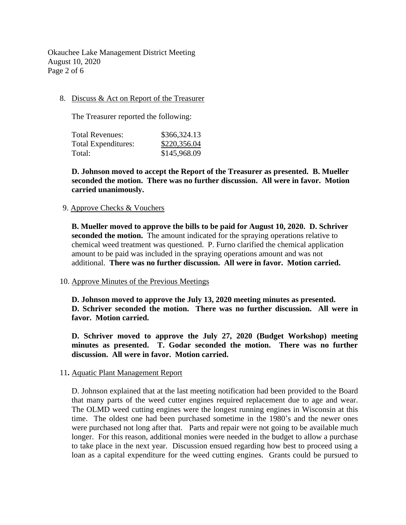Okauchee Lake Management District Meeting August 10, 2020 Page 2 of 6

## 8. Discuss & Act on Report of the Treasurer

The Treasurer reported the following:

| \$366,324.13 |
|--------------|
| \$220,356.04 |
| \$145,968.09 |
|              |

**D. Johnson moved to accept the Report of the Treasurer as presented. B. Mueller seconded the motion. There was no further discussion. All were in favor. Motion carried unanimously.**

### 9. Approve Checks & Vouchers

**B. Mueller moved to approve the bills to be paid for August 10, 2020. D. Schriver seconded the motion.** The amount indicated for the spraying operations relative to chemical weed treatment was questioned. P. Furno clarified the chemical application amount to be paid was included in the spraying operations amount and was not additional. **There was no further discussion. All were in favor. Motion carried.**

### 10. Approve Minutes of the Previous Meetings

**D. Johnson moved to approve the July 13, 2020 meeting minutes as presented. D. Schriver seconded the motion. There was no further discussion. All were in favor. Motion carried.**

**D. Schriver moved to approve the July 27, 2020 (Budget Workshop) meeting minutes as presented. T. Godar seconded the motion. There was no further discussion. All were in favor. Motion carried.**

### 11**.** Aquatic Plant Management Report

D. Johnson explained that at the last meeting notification had been provided to the Board that many parts of the weed cutter engines required replacement due to age and wear. The OLMD weed cutting engines were the longest running engines in Wisconsin at this time. The oldest one had been purchased sometime in the 1980's and the newer ones were purchased not long after that. Parts and repair were not going to be available much longer. For this reason, additional monies were needed in the budget to allow a purchase to take place in the next year. Discussion ensued regarding how best to proceed using a loan as a capital expenditure for the weed cutting engines. Grants could be pursued to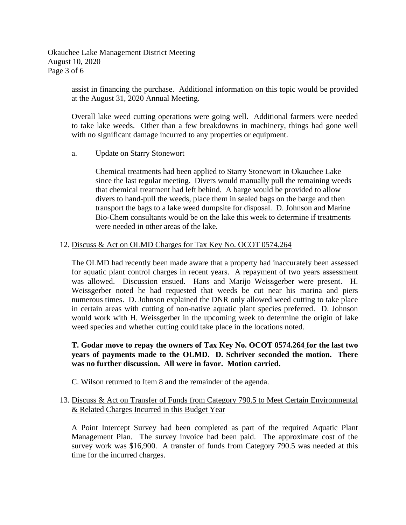Okauchee Lake Management District Meeting August 10, 2020 Page 3 of 6

> assist in financing the purchase. Additional information on this topic would be provided at the August 31, 2020 Annual Meeting.

> Overall lake weed cutting operations were going well. Additional farmers were needed to take lake weeds. Other than a few breakdowns in machinery, things had gone well with no significant damage incurred to any properties or equipment.

a. Update on Starry Stonewort

Chemical treatments had been applied to Starry Stonewort in Okauchee Lake since the last regular meeting. Divers would manually pull the remaining weeds that chemical treatment had left behind. A barge would be provided to allow divers to hand-pull the weeds, place them in sealed bags on the barge and then transport the bags to a lake weed dumpsite for disposal. D. Johnson and Marine Bio-Chem consultants would be on the lake this week to determine if treatments were needed in other areas of the lake.

## 12. Discuss & Act on OLMD Charges for Tax Key No. OCOT 0574.264

The OLMD had recently been made aware that a property had inaccurately been assessed for aquatic plant control charges in recent years. A repayment of two years assessment was allowed. Discussion ensued. Hans and Marijo Weissgerber were present. H. Weissgerber noted he had requested that weeds be cut near his marina and piers numerous times. D. Johnson explained the DNR only allowed weed cutting to take place in certain areas with cutting of non-native aquatic plant species preferred. D. Johnson would work with H. Weissgerber in the upcoming week to determine the origin of lake weed species and whether cutting could take place in the locations noted.

# **T. Godar move to repay the owners of Tax Key No. OCOT 0574.264 for the last two years of payments made to the OLMD. D. Schriver seconded the motion. There was no further discussion. All were in favor. Motion carried.**

C. Wilson returned to Item 8 and the remainder of the agenda.

# 13. Discuss & Act on Transfer of Funds from Category 790.5 to Meet Certain Environmental & Related Charges Incurred in this Budget Year

A Point Intercept Survey had been completed as part of the required Aquatic Plant Management Plan. The survey invoice had been paid. The approximate cost of the survey work was \$16,900. A transfer of funds from Category 790.5 was needed at this time for the incurred charges.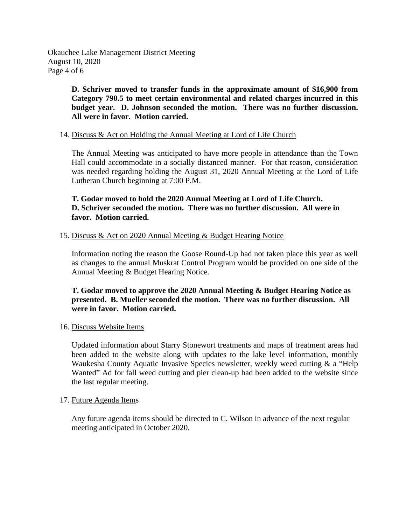Okauchee Lake Management District Meeting August 10, 2020 Page 4 of 6

> **D. Schriver moved to transfer funds in the approximate amount of \$16,900 from Category 790.5 to meet certain environmental and related charges incurred in this budget year. D. Johnson seconded the motion. There was no further discussion. All were in favor. Motion carried.**

## 14. Discuss & Act on Holding the Annual Meeting at Lord of Life Church

The Annual Meeting was anticipated to have more people in attendance than the Town Hall could accommodate in a socially distanced manner. For that reason, consideration was needed regarding holding the August 31, 2020 Annual Meeting at the Lord of Life Lutheran Church beginning at 7:00 P.M.

# **T. Godar moved to hold the 2020 Annual Meeting at Lord of Life Church. D. Schriver seconded the motion. There was no further discussion. All were in favor. Motion carried.**

## 15. Discuss & Act on 2020 Annual Meeting & Budget Hearing Notice

Information noting the reason the Goose Round-Up had not taken place this year as well as changes to the annual Muskrat Control Program would be provided on one side of the Annual Meeting & Budget Hearing Notice.

# **T. Godar moved to approve the 2020 Annual Meeting & Budget Hearing Notice as presented. B. Mueller seconded the motion. There was no further discussion. All were in favor. Motion carried.**

### 16. Discuss Website Items

Updated information about Starry Stonewort treatments and maps of treatment areas had been added to the website along with updates to the lake level information, monthly Waukesha County Aquatic Invasive Species newsletter, weekly weed cutting & a "Help Wanted" Ad for fall weed cutting and pier clean-up had been added to the website since the last regular meeting.

### 17. Future Agenda Items

Any future agenda items should be directed to C. Wilson in advance of the next regular meeting anticipated in October 2020.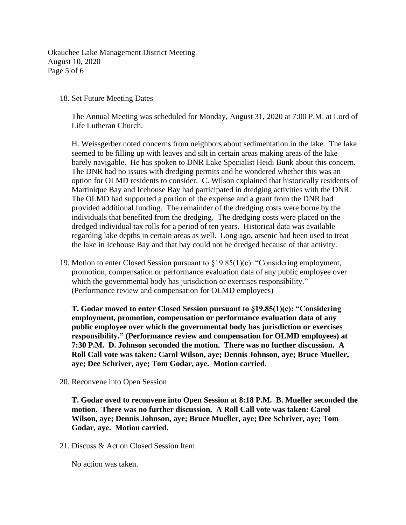Okauchee Lake Management District Meeting August 10, 2020 Page 5 of 6

### 18. Set Future Meeting Dates

The Annual Meeting was scheduled for Monday, August 31, 2020 at 7:00 P.M. at Lord of Life Lutheran Church.

H. Weissgerber noted concerns from neighbors about sedimentation in the lake. The lake seemed to be filling up with leaves and silt in certain areas making areas of the lake barely navigable. He has spoken to DNR Lake Specialist Heidi Bunk about this concern. The DNR had no issues with dredging permits and he wondered whether this was an option for OLMD residents to consider. C. Wilson explained that historically residents of Martinique Bay and Icehouse Bay had participated in dredging activities with the DNR. The OLMD had supported a portion of the expense and a grant from the DNR had provided additional funding. The remainder of the dredging costs were borne by the individuals that benefited from the dredging. The dredging costs were placed on the dredged individual tax rolls for a period of ten years. Historical data was available regarding lake depths in certain areas as well. Long ago, arsenic had been used to treat the lake in Icehouse Bay and that bay could not be dredged because of that activity.

19. Motion to enter Closed Session pursuant to §19.85(1)(c): "Considering employment, promotion, compensation or performance evaluation data of any public employee over which the governmental body has jurisdiction or exercises responsibility." (Performance review and compensation for OLMD employees)

**T. Godar moved to enter Closed Session pursuant to §19.85(1)(c): "Considering employment, promotion, compensation or performance evaluation data of any public employee over which the governmental body has jurisdiction or exercises responsibility." (Performance review and compensation for OLMD employees) at 7:30 P.M. D. Johnson seconded the motion. There was no further discussion. A Roll Call vote was taken: Carol Wilson, aye; Dennis Johnson, aye; Bruce Mueller, aye; Dee Schriver, aye; Tom Godar, aye. Motion carried.**

20. Reconvene into Open Session

**T. Godar oved to reconvene into Open Session at 8:18 P.M. B. Mueller seconded the motion. There was no further discussion. A Roll Call vote was taken: Carol Wilson, aye; Dennis Johnson, aye; Bruce Mueller, aye; Dee Schriver, aye; Tom Godar, aye. Motion carried.**

21. Discuss & Act on Closed Session Item

No action was taken.